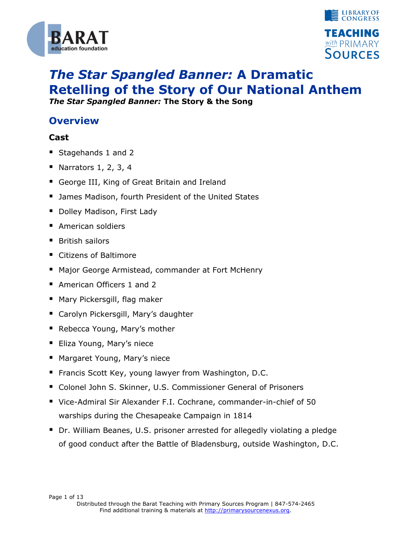



# *The Star Spangled Banner:* **A Dramatic Retelling of the Story of Our National Anthem**

*The Star Spangled Banner:* **The Story & the Song**

### **Overview**

#### **Cast**

- Stagehands 1 and 2
- Narrators  $1, 2, 3, 4$
- George III, King of Great Britain and Ireland
- **James Madison, fourth President of the United States**
- **Dolley Madison, First Lady**
- **American soldiers**
- British sailors
- Citizens of Baltimore
- Major George Armistead, commander at Fort McHenry
- American Officers 1 and 2
- Mary Pickersgill, flag maker
- Carolyn Pickersgill, Mary's daughter
- Rebecca Young, Mary's mother
- **Eliza Young, Mary's niece**
- **Margaret Young, Mary's niece**
- **Francis Scott Key, young lawyer from Washington, D.C.**
- Colonel John S. Skinner, U.S. Commissioner General of Prisoners
- Vice-Admiral Sir Alexander F.I. Cochrane, commander-in-chief of 50 warships during the Chesapeake Campaign in 1814
- Dr. William Beanes, U.S. prisoner arrested for allegedly violating a pledge of good conduct after the Battle of Bladensburg, outside Washington, D.C.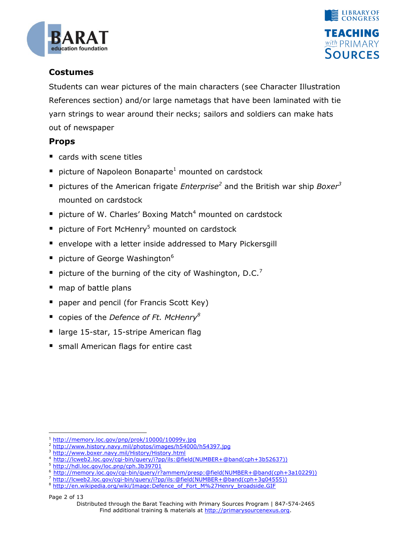



#### **Costumes**

Students can wear pictures of the main characters (see Character Illustration References section) and/or large nametags that have been laminated with tie yarn strings to wear around their necks; sailors and soldiers can make hats out of newspaper

#### **Props**

- cards with scene titles
- **P** picture of Napoleon Bonaparte<sup>1</sup> mounted on cardstock
- pictures of the American frigate *Enterprise*<sup>2</sup> and the British war ship *Boxer*<sup>3</sup> mounted on cardstock
- **P** picture of W. Charles' Boxing Match<sup>4</sup> mounted on cardstock
- **P** picture of Fort McHenry<sup>5</sup> mounted on cardstock
- **E** envelope with a letter inside addressed to Mary Pickersgill
- picture of George Washington<sup>6</sup>
- picture of the burning of the city of Washington, D.C.<sup>7</sup>
- map of battle plans
- paper and pencil (for Francis Scott Key)
- copies of the *Defence of Ft. McHenry<sup>8</sup>*
- large 15-star, 15-stripe American flag
- **SIMBLE 10.5 In American flags for entire cast**

Page 2 of 13

1

<sup>1</sup> <http://memory.loc.gov/pnp/prok/10000/10099v.jpg>

<http://www.history.navy.mil/photos/images/h54000/h54397.jpg>

<http://www.boxer.navy.mil/History/History.html>

[http://lcweb2.loc.gov/cgi-bin/query/i?pp/ils:@field\(NUMBER+@band\(cph+3b52637\)\)](http://lcweb2.loc.gov/cgi-bin/query/i?pp/ils:@field(NUMBER+@band(cph+3b52637)))

<sup>5</sup> <http://hdl.loc.gov/loc.pnp/cph.3b39701>

<sup>6</sup> [http://memory.loc.gov/cgi-bin/query/r?ammem/presp:@field\(NUMBER+@band\(cph+3a10229\)\)](http://memory.loc.gov/cgi-bin/query/r?ammem/presp:@field(NUMBER+@band(cph+3a10229)))

<sup>7</sup> [http://lcweb2.loc.gov/cgi-bin/query/i?pp/ils:@field\(NUMBER+@band\(cph+3g04555\)\)](http://lcweb2.loc.gov/cgi-bin/query/i?pp/ils:@field(NUMBER+@band(cph+3g04555)))

<sup>&</sup>lt;sup>8</sup> [http://en.wikipedia.org/wiki/Image:Defence\\_of\\_Fort\\_M%27Henry\\_broadside.GIF](http://en.wikipedia.org/wiki/Image:Defence_of_Fort_M%27Henry_broadside.GIF)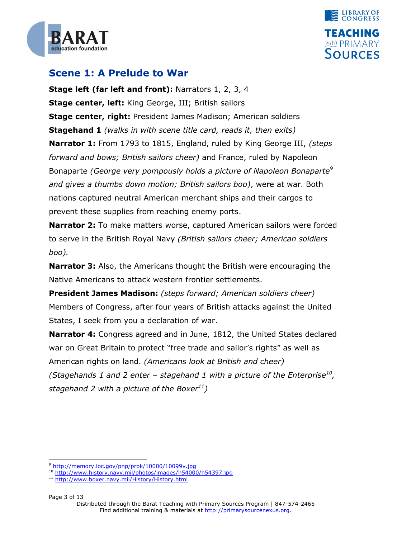



### **Scene 1: A Prelude to War**

**Stage left (far left and front):** Narrators 1, 2, 3, 4 **Stage center, left:** King George, III; British sailors **Stage center, right:** President James Madison; American soldiers **Stagehand 1** *(walks in with scene title card, reads it, then exits)* **Narrator 1:** From 1793 to 1815, England, ruled by King George III, *(steps forward and bows; British sailors cheer)* and France, ruled by Napoleon Bonaparte *(George very pompously holds a picture of Napoleon Bonaparte<sup>9</sup> and gives a thumbs down motion; British sailors boo)*, were at war. Both nations captured neutral American merchant ships and their cargos to prevent these supplies from reaching enemy ports.

**Narrator 2:** To make matters worse, captured American sailors were forced to serve in the British Royal Navy *(British sailors cheer; American soldiers boo).*

**Narrator 3:** Also, the Americans thought the British were encouraging the Native Americans to attack western frontier settlements.

**President James Madison:** *(steps forward; American soldiers cheer)* Members of Congress, after four years of British attacks against the United States, I seek from you a declaration of war.

**Narrator 4:** Congress agreed and in June, 1812, the United States declared war on Great Britain to protect "free trade and sailor's rights" as well as American rights on land. *(Americans look at British and cheer) (Stagehands 1 and 2 enter – stagehand 1 with a picture of the Enterprise<sup>10</sup> , stagehand 2 with a picture of the Boxer<sup>11</sup>)*

Page 3 of 13

1

<sup>&</sup>lt;sup>9</sup> <http://memory.loc.gov/pnp/prok/10000/10099v.jpg>

<sup>10</sup> <http://www.history.navy.mil/photos/images/h54000/h54397.jpg>

<sup>11</sup> <http://www.boxer.navy.mil/History/History.html>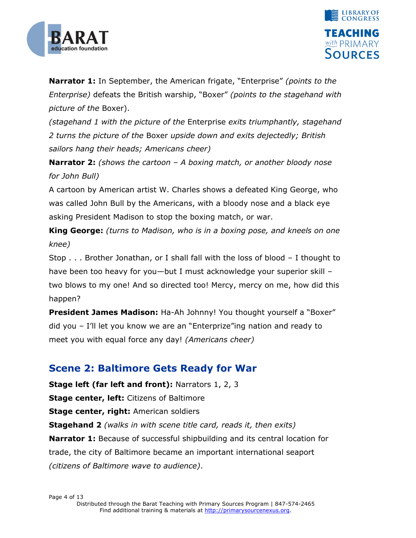



**Narrator 1:** In September, the American frigate, "Enterprise" *(points to the Enterprise*) defeats the British warship, "Boxer" *(points to the stagehand with picture of the* Boxer).

*(stagehand 1 with the picture of the* Enterprise *exits triumphantly, stagehand 2 turns the picture of the* Boxer *upside down and exits dejectedly; British sailors hang their heads; Americans cheer)*

**Narrator 2:** *(shows the cartoon – A boxing match, or another bloody nose for John Bull)*

A cartoon by American artist W. Charles shows a defeated King George, who was called John Bull by the Americans, with a bloody nose and a black eye asking President Madison to stop the boxing match, or war.

**King George:** *(turns to Madison, who is in a boxing pose, and kneels on one knee)*

Stop . . . Brother Jonathan, or I shall fall with the loss of blood – I thought to have been too heavy for you—but I must acknowledge your superior skill – two blows to my one! And so directed too! Mercy, mercy on me, how did this happen?

**President James Madison:** Ha-Ah Johnny! You thought yourself a "Boxer" did you – I'll let you know we are an "Enterprize" ing nation and ready to meet you with equal force any day! *(Americans cheer)*

### **Scene 2: Baltimore Gets Ready for War**

**Stage left (far left and front):** Narrators 1, 2, 3 **Stage center, left:** Citizens of Baltimore **Stage center, right:** American soldiers **Stagehand 2** *(walks in with scene title card, reads it, then exits)* **Narrator 1:** Because of successful shipbuilding and its central location for trade, the city of Baltimore became an important international seaport *(citizens of Baltimore wave to audience)*.

Page 4 of 13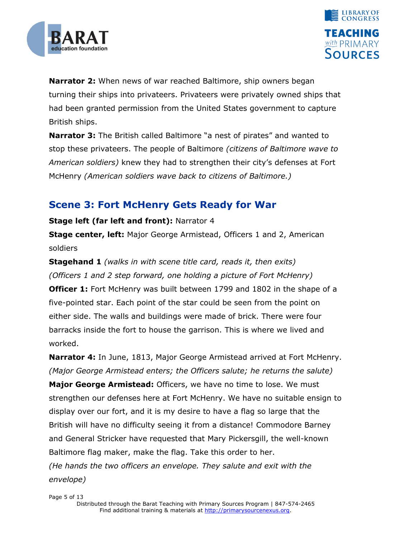



**Narrator 2:** When news of war reached Baltimore, ship owners began turning their ships into privateers. Privateers were privately owned ships that had been granted permission from the United States government to capture British ships.

**Narrator 3:** The British called Baltimore "a nest of pirates" and wanted to stop these privateers. The people of Baltimore *(citizens of Baltimore wave to American soldiers)* knew they had to strengthen their city's defenses at Fort McHenry *(American soldiers wave back to citizens of Baltimore.)*

### **Scene 3: Fort McHenry Gets Ready for War**

#### **Stage left (far left and front):** Narrator 4

**Stage center, left:** Major George Armistead, Officers 1 and 2, American soldiers

**Stagehand 1** *(walks in with scene title card, reads it, then exits) (Officers 1 and 2 step forward, one holding a picture of Fort McHenry)*

**Officer 1:** Fort McHenry was built between 1799 and 1802 in the shape of a five-pointed star. Each point of the star could be seen from the point on either side. The walls and buildings were made of brick. There were four barracks inside the fort to house the garrison. This is where we lived and worked.

**Narrator 4:** In June, 1813, Major George Armistead arrived at Fort McHenry. *(Major George Armistead enters; the Officers salute; he returns the salute)*

**Major George Armistead:** Officers, we have no time to lose. We must strengthen our defenses here at Fort McHenry. We have no suitable ensign to display over our fort, and it is my desire to have a flag so large that the British will have no difficulty seeing it from a distance! Commodore Barney and General Stricker have requested that Mary Pickersgill, the well-known Baltimore flag maker, make the flag. Take this order to her. *(He hands the two officers an envelope. They salute and exit with the envelope)*

Page 5 of 13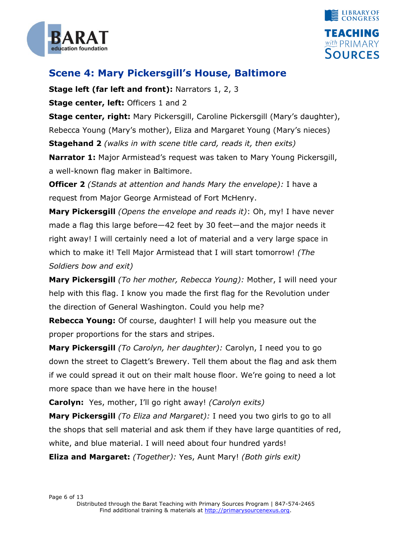



### **Scene 4: Mary Pickersgill's House, Baltimore**

**Stage left (far left and front):** Narrators 1, 2, 3

**Stage center, left:** Officers 1 and 2

**Stage center, right:** Mary Pickersgill, Caroline Pickersgill (Mary's daughter), Rebecca Young (Mary's mother), Eliza and Margaret Young (Mary's nieces) **Stagehand 2** *(walks in with scene title card, reads it, then exits)* **Narrator 1:** Major Armistead's request was taken to Mary Young Pickersgill,

a well-known flag maker in Baltimore.

**Officer 2** *(Stands at attention and hands Mary the envelope):* I have a request from Major George Armistead of Fort McHenry.

**Mary Pickersgill** *(Opens the envelope and reads it)*: Oh, my! I have never made a flag this large before—42 feet by 30 feet—and the major needs it right away! I will certainly need a lot of material and a very large space in which to make it! Tell Major Armistead that I will start tomorrow! *(The Soldiers bow and exit)*

**Mary Pickersgill** *(To her mother, Rebecca Young):* Mother, I will need your help with this flag. I know you made the first flag for the Revolution under the direction of General Washington. Could you help me?

**Rebecca Young:** Of course, daughter! I will help you measure out the proper proportions for the stars and stripes.

**Mary Pickersgill** *(To Carolyn, her daughter):* Carolyn, I need you to go down the street to Clagett's Brewery. Tell them about the flag and ask them if we could spread it out on their malt house floor. We're going to need a lot more space than we have here in the house!

**Carolyn:** Yes, mother, I'll go right away! *(Carolyn exits)*

**Mary Pickersgill** *(To Eliza and Margaret):* I need you two girls to go to all the shops that sell material and ask them if they have large quantities of red, white, and blue material. I will need about four hundred yards!

**Eliza and Margaret:** *(Together):* Yes, Aunt Mary! *(Both girls exit)*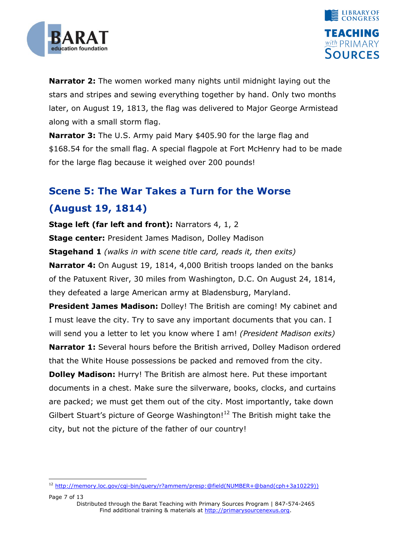

-



**Narrator 2:** The women worked many nights until midnight laying out the stars and stripes and sewing everything together by hand. Only two months later, on August 19, 1813, the flag was delivered to Major George Armistead along with a small storm flag.

**Narrator 3:** The U.S. Army paid Mary \$405.90 for the large flag and \$168.54 for the small flag. A special flagpole at Fort McHenry had to be made for the large flag because it weighed over 200 pounds!

## **Scene 5: The War Takes a Turn for the Worse (August 19, 1814)**

**Stage left (far left and front):** Narrators 4, 1, 2 **Stage center:** President James Madison, Dolley Madison **Stagehand 1** *(walks in with scene title card, reads it, then exits)* **Narrator 4:** On August 19, 1814, 4,000 British troops landed on the banks of the Patuxent River, 30 miles from Washington, D.C. On August 24, 1814, they defeated a large American army at Bladensburg, Maryland.

**President James Madison:** Dolley! The British are coming! My cabinet and I must leave the city. Try to save any important documents that you can. I will send you a letter to let you know where I am! *(President Madison exits)* **Narrator 1:** Several hours before the British arrived, Dolley Madison ordered that the White House possessions be packed and removed from the city.

**Dolley Madison:** Hurry! The British are almost here. Put these important documents in a chest. Make sure the silverware, books, clocks, and curtains are packed; we must get them out of the city. Most importantly, take down Gilbert Stuart's picture of George Washington!<sup>12</sup> The British might take the city, but not the picture of the father of our country!

<sup>12</sup> [http://memory.loc.gov/cgi-bin/query/r?ammem/presp:@field\(NUMBER+@band\(cph+3a10229\)\)](http://memory.loc.gov/cgi-bin/query/r?ammem/presp:@field(NUMBER+@band(cph+3a10229)))

Page 7 of 13 Distributed through the Barat Teaching with Primary Sources Program | 847-574-2465 Find additional training & materials at http://primarysourcenexus.org.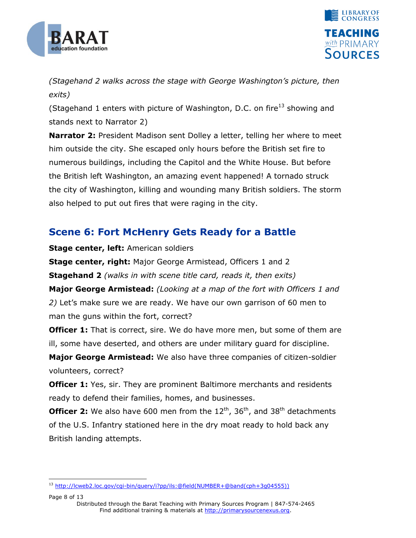



*(Stagehand 2 walks across the stage with George Washington's picture, then exits)*

(Stagehand 1 enters with picture of Washington, D.C. on fire<sup>13</sup> showing and stands next to Narrator 2)

**Narrator 2:** President Madison sent Dolley a letter, telling her where to meet him outside the city. She escaped only hours before the British set fire to numerous buildings, including the Capitol and the White House. But before the British left Washington, an amazing event happened! A tornado struck the city of Washington, killing and wounding many British soldiers. The storm also helped to put out fires that were raging in the city.

### **Scene 6: Fort McHenry Gets Ready for a Battle**

**Stage center, left:** American soldiers

**Stage center, right:** Major George Armistead, Officers 1 and 2 **Stagehand 2** *(walks in with scene title card, reads it, then exits)* **Major George Armistead:** *(Looking at a map of the fort with Officers 1 and 2)* Let's make sure we are ready. We have our own garrison of 60 men to man the guns within the fort, correct?

**Officer 1:** That is correct, sire. We do have more men, but some of them are ill, some have deserted, and others are under military guard for discipline.

**Major George Armistead:** We also have three companies of citizen-soldier volunteers, correct?

**Officer 1:** Yes, sir. They are prominent Baltimore merchants and residents ready to defend their families, homes, and businesses.

**Officer 2:** We also have 600 men from the 12<sup>th</sup>, 36<sup>th</sup>, and 38<sup>th</sup> detachments of the U.S. Infantry stationed here in the dry moat ready to hold back any British landing attempts.

Page 8 of 13

<sup>-</sup><sup>13</sup> [http://lcweb2.loc.gov/cgi-bin/query/i?pp/ils:@field\(NUMBER+@band\(cph+3g04555\)\)](http://lcweb2.loc.gov/cgi-bin/query/i?pp/ils:@field(NUMBER+@band(cph+3g04555)))

Distributed through the Barat Teaching with Primary Sources Program | 847-574-2465 Find additional training & materials at http://primarysourcenexus.org.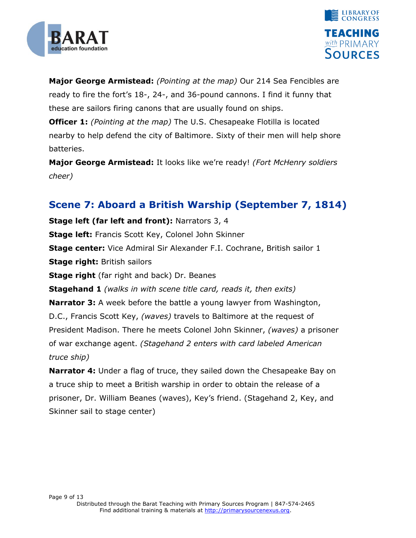



**Major George Armistead:** *(Pointing at the map)* Our 214 Sea Fencibles are ready to fire the fort's 18-, 24-, and 36-pound cannons. I find it funny that these are sailors firing canons that are usually found on ships. **Officer 1:** *(Pointing at the map)* The U.S. Chesapeake Flotilla is located nearby to help defend the city of Baltimore. Sixty of their men will help shore batteries.

**Major George Armistead:** It looks like we're ready! *(Fort McHenry soldiers cheer)*

### **Scene 7: Aboard a British Warship (September 7, 1814)**

**Stage left (far left and front):** Narrators 3, 4 **Stage left:** Francis Scott Key, Colonel John Skinner **Stage center:** Vice Admiral Sir Alexander F.I. Cochrane, British sailor 1 **Stage right:** British sailors **Stage right** (far right and back) Dr. Beanes **Stagehand 1** *(walks in with scene title card, reads it, then exits)* **Narrator 3:** A week before the battle a young lawyer from Washington, D.C., Francis Scott Key, *(waves)* travels to Baltimore at the request of President Madison. There he meets Colonel John Skinner, *(waves)* a prisoner of war exchange agent. *(Stagehand 2 enters with card labeled American truce ship)*

**Narrator 4:** Under a flag of truce, they sailed down the Chesapeake Bay on a truce ship to meet a British warship in order to obtain the release of a prisoner, Dr. William Beanes (waves), Key's friend. (Stagehand 2, Key, and Skinner sail to stage center)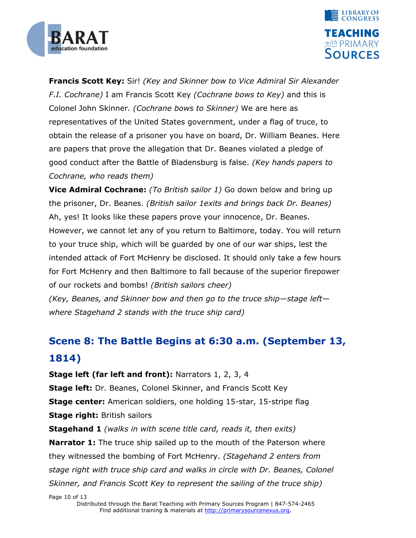



**Francis Scott Key:** Sir! *(Key and Skinner bow to Vice Admiral Sir Alexander F.I. Cochrane)* I am Francis Scott Key *(Cochrane bows to Key)* and this is Colonel John Skinner*. (Cochrane bows to Skinner)* We are here as representatives of the United States government, under a flag of truce, to obtain the release of a prisoner you have on board, Dr. William Beanes. Here are papers that prove the allegation that Dr. Beanes violated a pledge of good conduct after the Battle of Bladensburg is false. *(Key hands papers to Cochrane, who reads them)*

**Vice Admiral Cochrane:** *(To British sailor 1)* Go down below and bring up the prisoner, Dr. Beanes. *(British sailor 1exits and brings back Dr. Beanes)* Ah, yes! It looks like these papers prove your innocence, Dr. Beanes. However, we cannot let any of you return to Baltimore, today. You will return to your truce ship, which will be guarded by one of our war ships, lest the intended attack of Fort McHenry be disclosed. It should only take a few hours for Fort McHenry and then Baltimore to fall because of the superior firepower of our rockets and bombs! *(British sailors cheer)*

*(Key, Beanes, and Skinner bow and then go to the truce ship—stage left where Stagehand 2 stands with the truce ship card)*

## **Scene 8: The Battle Begins at 6:30 a.m. (September 13, 1814)**

**Stage left (far left and front):** Narrators 1, 2, 3, 4

**Stage left:** Dr. Beanes, Colonel Skinner, and Francis Scott Key **Stage center:** American soldiers, one holding 15-star, 15-stripe flag **Stage right:** British sailors

**Stagehand 1** *(walks in with scene title card, reads it, then exits)* **Narrator 1:** The truce ship sailed up to the mouth of the Paterson where they witnessed the bombing of Fort McHenry. *(Stagehand 2 enters from stage right with truce ship card and walks in circle with Dr. Beanes, Colonel Skinner, and Francis Scott Key to represent the sailing of the truce ship)*

Page 10 of 13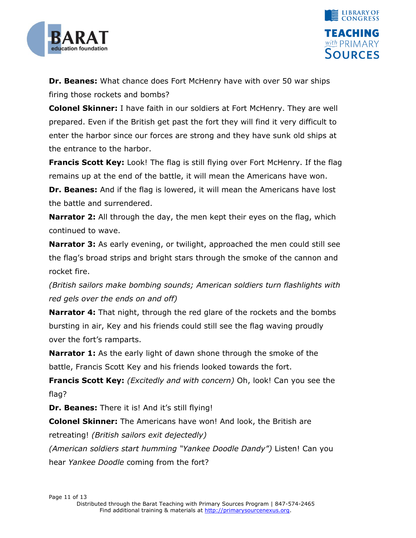



**Dr. Beanes:** What chance does Fort McHenry have with over 50 war ships firing those rockets and bombs?

**Colonel Skinner:** I have faith in our soldiers at Fort McHenry. They are well prepared. Even if the British get past the fort they will find it very difficult to enter the harbor since our forces are strong and they have sunk old ships at the entrance to the harbor.

**Francis Scott Key:** Look! The flag is still flying over Fort McHenry. If the flag remains up at the end of the battle, it will mean the Americans have won.

**Dr. Beanes:** And if the flag is lowered, it will mean the Americans have lost the battle and surrendered.

**Narrator 2:** All through the day, the men kept their eyes on the flag, which continued to wave.

**Narrator 3:** As early evening, or twilight, approached the men could still see the flag's broad strips and bright stars through the smoke of the cannon and rocket fire.

*(British sailors make bombing sounds; American soldiers turn flashlights with red gels over the ends on and off)*

**Narrator 4:** That night, through the red glare of the rockets and the bombs bursting in air, Key and his friends could still see the flag waving proudly over the fort's ramparts.

**Narrator 1:** As the early light of dawn shone through the smoke of the battle, Francis Scott Key and his friends looked towards the fort.

**Francis Scott Key:** *(Excitedly and with concern)* Oh, look! Can you see the flag?

**Dr. Beanes:** There it is! And it's still flying!

**Colonel Skinner:** The Americans have won! And look, the British are retreating! *(British sailors exit dejectedly)*

*(American soldiers start humming ―Yankee Doodle Dandy‖)* Listen! Can you hear *Yankee Doodle* coming from the fort?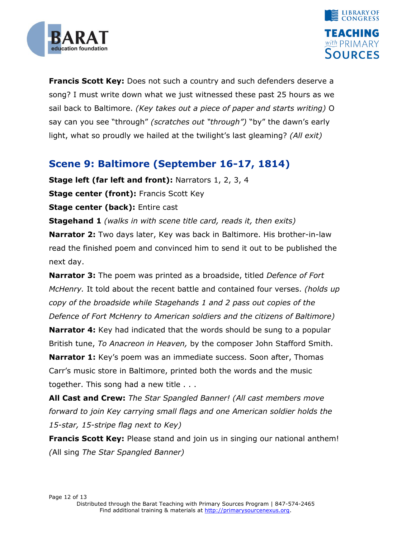



**Francis Scott Key:** Does not such a country and such defenders deserve a song? I must write down what we just witnessed these past 25 hours as we sail back to Baltimore. *(Key takes out a piece of paper and starts writing)* O say can you see "through" *(scratches out "through")* "by" the dawn's early light, what so proudly we hailed at the twilight's last gleaming? *(All exit)*

### **Scene 9: Baltimore (September 16-17, 1814)**

**Stage left (far left and front):** Narrators 1, 2, 3, 4

**Stage center (front):** Francis Scott Key

**Stage center (back):** Entire cast

**Stagehand 1** *(walks in with scene title card, reads it, then exits)*

**Narrator 2:** Two days later, Key was back in Baltimore. His brother-in-law read the finished poem and convinced him to send it out to be published the next day.

**Narrator 3:** The poem was printed as a broadside, titled *Defence of Fort McHenry.* It told about the recent battle and contained four verses. *(holds up copy of the broadside while Stagehands 1 and 2 pass out copies of the Defence of Fort McHenry to American soldiers and the citizens of Baltimore)*

**Narrator 4:** Key had indicated that the words should be sung to a popular British tune, *To Anacreon in Heaven,* by the composer John Stafford Smith.

**Narrator 1:** Key's poem was an immediate success. Soon after, Thomas Carr's music store in Baltimore, printed both the words and the music together. This song had a new title . . .

**All Cast and Crew:** *The Star Spangled Banner! (All cast members move forward to join Key carrying small flags and one American soldier holds the 15-star, 15-stripe flag next to Key)*

**Francis Scott Key:** Please stand and join us in singing our national anthem! *(*All sing *The Star Spangled Banner)*